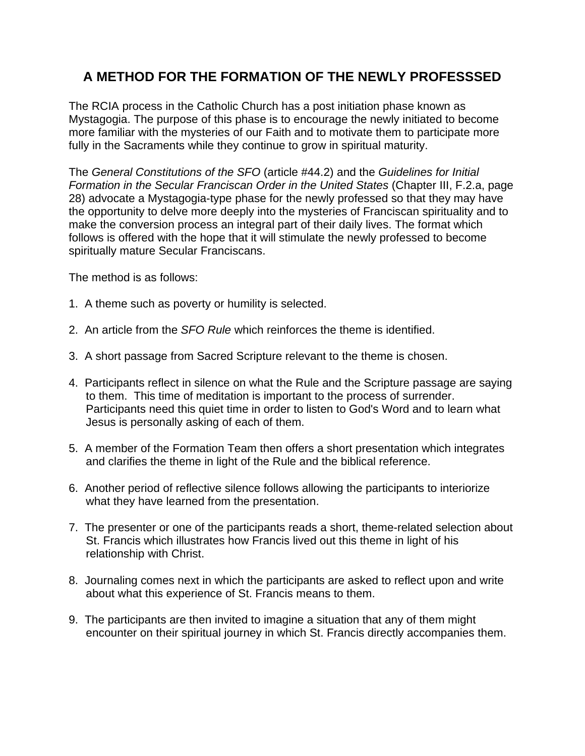## **A METHOD FOR THE FORMATION OF THE NEWLY PROFESSSED**

The RCIA process in the Catholic Church has a post initiation phase known as Mystagogia. The purpose of this phase is to encourage the newly initiated to become more familiar with the mysteries of our Faith and to motivate them to participate more fully in the Sacraments while they continue to grow in spiritual maturity.

The General Constitutions of the SFO (article #44.2) and the Guidelines for Initial Formation in the Secular Franciscan Order in the United States (Chapter III, F.2.a, page 28) advocate a Mystagogia-type phase for the newly professed so that they may have the opportunity to delve more deeply into the mysteries of Franciscan spirituality and to make the conversion process an integral part of their daily lives. The format which follows is offered with the hope that it will stimulate the newly professed to become spiritually mature Secular Franciscans.

The method is as follows:

- 1. A theme such as poverty or humility is selected.
- 2. An article from the SFO Rule which reinforces the theme is identified.
- 3. A short passage from Sacred Scripture relevant to the theme is chosen.
- 4. Participants reflect in silence on what the Rule and the Scripture passage are saying to them. This time of meditation is important to the process of surrender. Participants need this quiet time in order to listen to God's Word and to learn what Jesus is personally asking of each of them.
- 5. A member of the Formation Team then offers a short presentation which integrates and clarifies the theme in light of the Rule and the biblical reference.
- 6. Another period of reflective silence follows allowing the participants to interiorize what they have learned from the presentation.
- 7. The presenter or one of the participants reads a short, theme-related selection about St. Francis which illustrates how Francis lived out this theme in light of his relationship with Christ.
- 8. Journaling comes next in which the participants are asked to reflect upon and write about what this experience of St. Francis means to them.
- 9. The participants are then invited to imagine a situation that any of them might encounter on their spiritual journey in which St. Francis directly accompanies them.